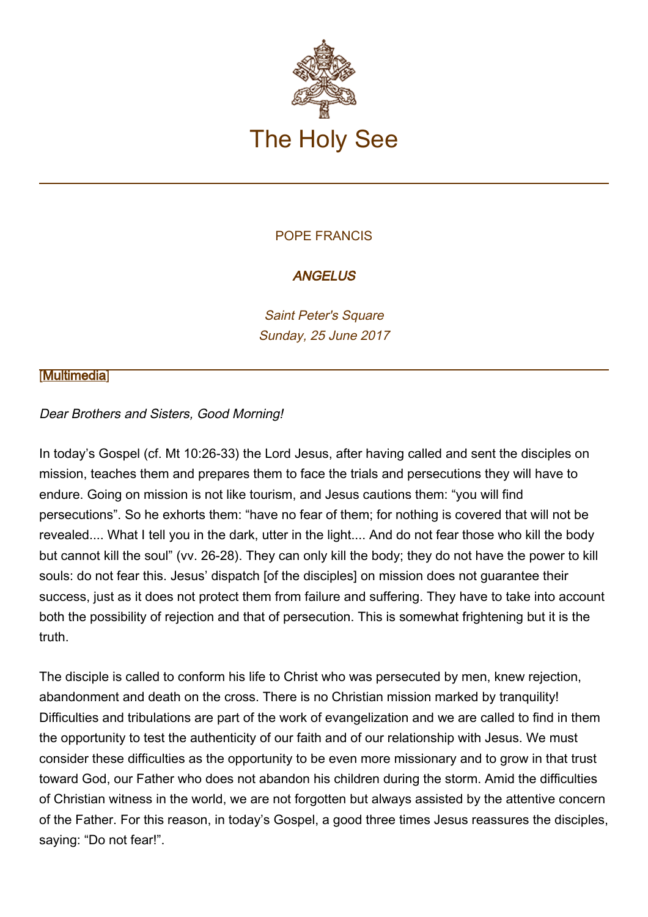

## POPE FRANCIS

# **ANGELUS**

Saint Peter's Square Sunday, 25 June 2017

### **[\[Multimedia](http://w2.vatican.va/content/francesco/en/events/event.dir.html/content/vaticanevents/en/2017/6/25/angelus.html)]**

### Dear Brothers and Sisters, Good Morning!

In today's Gospel (cf. Mt 10:26-33) the Lord Jesus, after having called and sent the disciples on mission, teaches them and prepares them to face the trials and persecutions they will have to endure. Going on mission is not like tourism, and Jesus cautions them: "you will find persecutions". So he exhorts them: "have no fear of them; for nothing is covered that will not be revealed.... What I tell you in the dark, utter in the light.... And do not fear those who kill the body but cannot kill the soul" (vv. 26-28). They can only kill the body; they do not have the power to kill souls: do not fear this. Jesus' dispatch [of the disciples] on mission does not guarantee their success, just as it does not protect them from failure and suffering. They have to take into account both the possibility of rejection and that of persecution. This is somewhat frightening but it is the truth.

The disciple is called to conform his life to Christ who was persecuted by men, knew rejection, abandonment and death on the cross. There is no Christian mission marked by tranquility! Difficulties and tribulations are part of the work of evangelization and we are called to find in them the opportunity to test the authenticity of our faith and of our relationship with Jesus. We must consider these difficulties as the opportunity to be even more missionary and to grow in that trust toward God, our Father who does not abandon his children during the storm. Amid the difficulties of Christian witness in the world, we are not forgotten but always assisted by the attentive concern of the Father. For this reason, in today's Gospel, a good three times Jesus reassures the disciples, saying: "Do not fear!".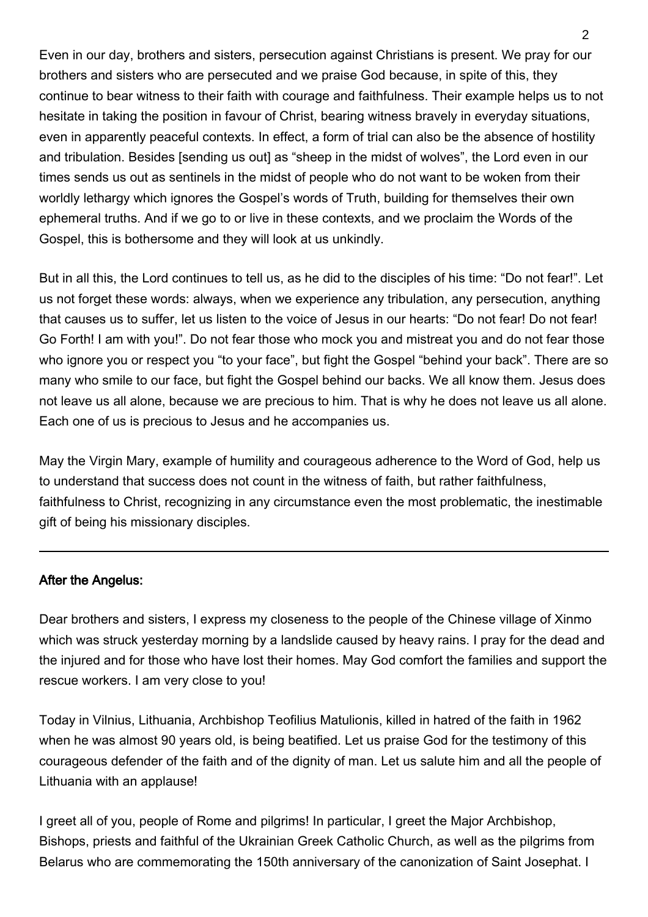Even in our day, brothers and sisters, persecution against Christians is present. We pray for our brothers and sisters who are persecuted and we praise God because, in spite of this, they continue to bear witness to their faith with courage and faithfulness. Their example helps us to not hesitate in taking the position in favour of Christ, bearing witness bravely in everyday situations, even in apparently peaceful contexts. In effect, a form of trial can also be the absence of hostility and tribulation. Besides [sending us out] as "sheep in the midst of wolves", the Lord even in our times sends us out as sentinels in the midst of people who do not want to be woken from their worldly lethargy which ignores the Gospel's words of Truth, building for themselves their own ephemeral truths. And if we go to or live in these contexts, and we proclaim the Words of the Gospel, this is bothersome and they will look at us unkindly.

But in all this, the Lord continues to tell us, as he did to the disciples of his time: "Do not fear!". Let us not forget these words: always, when we experience any tribulation, any persecution, anything that causes us to suffer, let us listen to the voice of Jesus in our hearts: "Do not fear! Do not fear! Go Forth! I am with you!". Do not fear those who mock you and mistreat you and do not fear those who ignore you or respect you "to your face", but fight the Gospel "behind your back". There are so many who smile to our face, but fight the Gospel behind our backs. We all know them. Jesus does not leave us all alone, because we are precious to him. That is why he does not leave us all alone. Each one of us is precious to Jesus and he accompanies us.

May the Virgin Mary, example of humility and courageous adherence to the Word of God, help us to understand that success does not count in the witness of faith, but rather faithfulness, faithfulness to Christ, recognizing in any circumstance even the most problematic, the inestimable gift of being his missionary disciples.

### After the Angelus:

Dear brothers and sisters, I express my closeness to the people of the Chinese village of Xinmo which was struck yesterday morning by a landslide caused by heavy rains. I pray for the dead and the injured and for those who have lost their homes. May God comfort the families and support the rescue workers. I am very close to you!

Today in Vilnius, Lithuania, Archbishop Teofilius Matulionis, killed in hatred of the faith in 1962 when he was almost 90 years old, is being beatified. Let us praise God for the testimony of this courageous defender of the faith and of the dignity of man. Let us salute him and all the people of Lithuania with an applause!

I greet all of you, people of Rome and pilgrims! In particular, I greet the Major Archbishop, Bishops, priests and faithful of the Ukrainian Greek Catholic Church, as well as the pilgrims from Belarus who are commemorating the 150th anniversary of the canonization of Saint Josephat. I